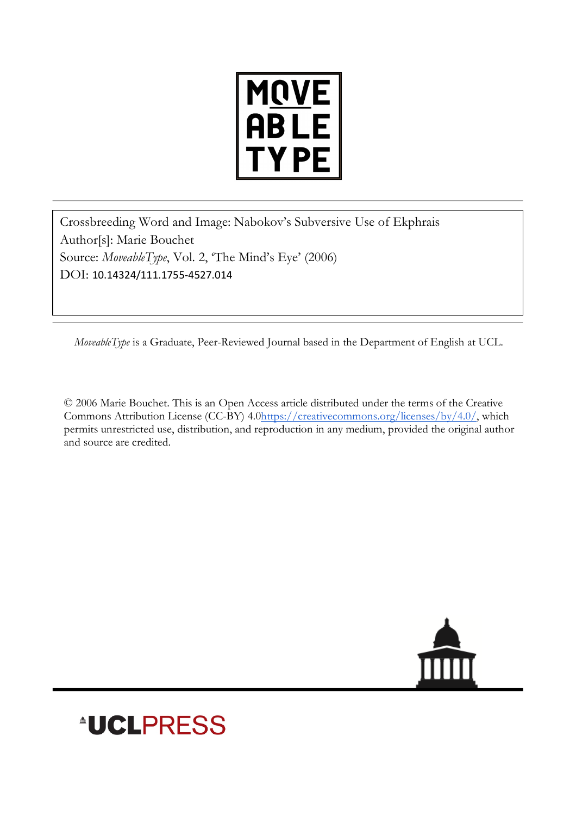

Crossbreeding Word and Image: Nabokov's Subversive Use of Ekphrais Author[s]: Marie Bouchet Source: *MoveableType*, Vol. 2, 'The Mind's Eye' (2006) DOI: 10.14324/111.1755-4527.014

*MoveableType* is a Graduate, Peer-Reviewed Journal based in the Department of English at UCL.

© 2006 Marie Bouchet. This is an Open Access article distributed under the terms of the Creative Commons Attribution License (CC-BY) 4.0https://creativecommons.org/licenses/by/4.0/, which permits unrestricted use, distribution, and reproduction in any medium, provided the original author and source are credited.



## **\*UCLPRESS**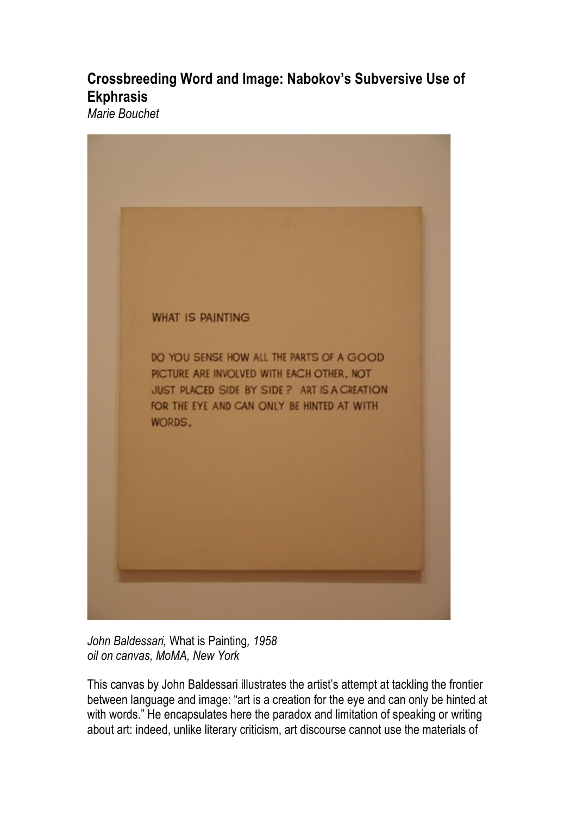## **Crossbreeding Word and Image: Nabokov's Subversive Use of Ekphrasis**

*Marie Bouchet*



*John Baldessari,* What is Painting*, 1958 oil on canvas, MoMA, New York*

This canvas by John Baldessari illustrates the artist's attempt at tackling the frontier between language and image: "art is a creation for the eye and can only be hinted at with words." He encapsulates here the paradox and limitation of speaking or writing about art: indeed, unlike literary criticism, art discourse cannot use the materials of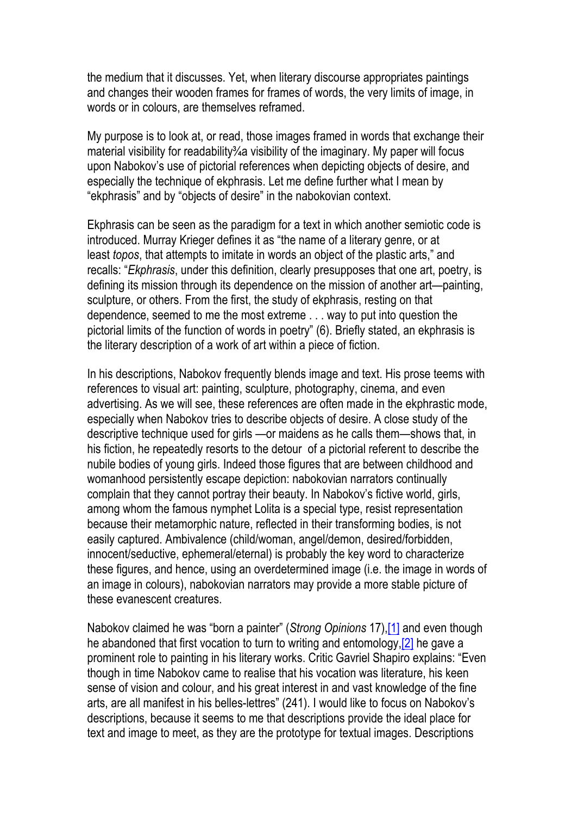the medium that it discusses. Yet, when literary discourse appropriates paintings and changes their wooden frames for frames of words, the very limits of image, in words or in colours, are themselves reframed.

My purpose is to look at, or read, those images framed in words that exchange their material visibility for readability % a visibility of the imaginary. My paper will focus upon Nabokov's use of pictorial references when depicting objects of desire, and especially the technique of ekphrasis. Let me define further what I mean by "ekphrasis" and by "objects of desire" in the nabokovian context.

Ekphrasis can be seen as the paradigm for a text in which another semiotic code is introduced. Murray Krieger defines it as "the name of a literary genre, or at least *topos*, that attempts to imitate in words an object of the plastic arts," and recalls: "*Ekphrasis*, under this definition, clearly presupposes that one art, poetry, is defining its mission through its dependence on the mission of another art—painting, sculpture, or others. From the first, the study of ekphrasis, resting on that dependence, seemed to me the most extreme . . . way to put into question the pictorial limits of the function of words in poetry" (6). Briefly stated, an ekphrasis is the literary description of a work of art within a piece of fiction.

In his descriptions, Nabokov frequently blends image and text. His prose teems with references to visual art: painting, sculpture, photography, cinema, and even advertising. As we will see, these references are often made in the ekphrastic mode, especially when Nabokov tries to describe objects of desire. A close study of the descriptive technique used for girls —or maidens as he calls them—shows that, in his fiction, he repeatedly resorts to the detour of a pictorial referent to describe the nubile bodies of young girls. Indeed those figures that are between childhood and womanhood persistently escape depiction: nabokovian narrators continually complain that they cannot portray their beauty. In Nabokov's fictive world, girls, among whom the famous nymphet Lolita is a special type, resist representation because their metamorphic nature, reflected in their transforming bodies, is not easily captured. Ambivalence (child/woman, angel/demon, desired/forbidden, innocent/seductive, ephemeral/eternal) is probably the key word to characterize these figures, and hence, using an overdetermined image (i.e. the image in words of an image in colours), nabokovian narrators may provide a more stable picture of these evanescent creatures.

Nabokov claimed he was "born a painter" (*Strong Opinions* 17),[1] and even though he abandoned that first vocation to turn to writing and entomology,[2] he gave a prominent role to painting in his literary works. Critic Gavriel Shapiro explains: "Even though in time Nabokov came to realise that his vocation was literature, his keen sense of vision and colour, and his great interest in and vast knowledge of the fine arts, are all manifest in his belles-lettres" (241). I would like to focus on Nabokov's descriptions, because it seems to me that descriptions provide the ideal place for text and image to meet, as they are the prototype for textual images. Descriptions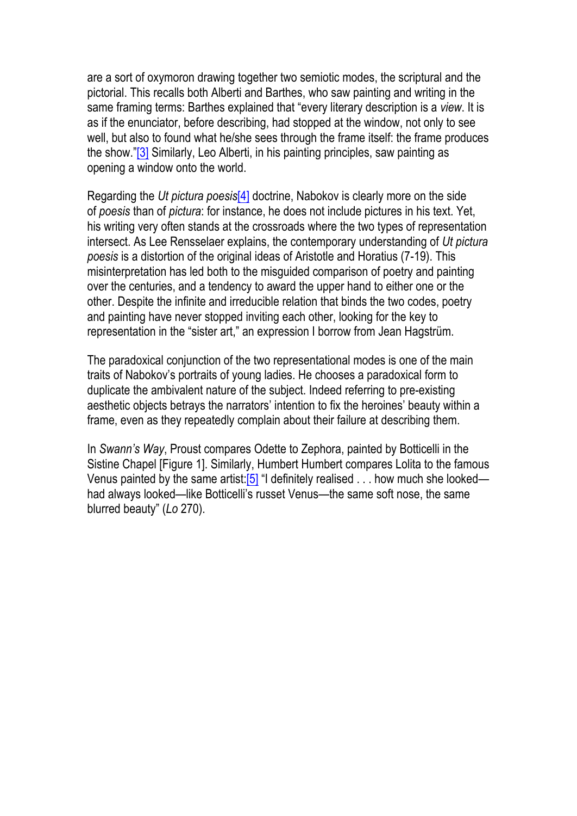are a sort of oxymoron drawing together two semiotic modes, the scriptural and the pictorial. This recalls both Alberti and Barthes, who saw painting and writing in the same framing terms: Barthes explained that "every literary description is a *view*. It is as if the enunciator, before describing, had stopped at the window, not only to see well, but also to found what he/she sees through the frame itself: the frame produces the show."[3] Similarly, Leo Alberti, in his painting principles, saw painting as opening a window onto the world.

Regarding the *Ut pictura poesis*[4] doctrine, Nabokov is clearly more on the side of *poesis* than of *pictura*: for instance, he does not include pictures in his text. Yet, his writing very often stands at the crossroads where the two types of representation intersect. As Lee Rensselaer explains, the contemporary understanding of *Ut pictura poesis* is a distortion of the original ideas of Aristotle and Horatius (7-19). This misinterpretation has led both to the misguided comparison of poetry and painting over the centuries, and a tendency to award the upper hand to either one or the other. Despite the infinite and irreducible relation that binds the two codes, poetry and painting have never stopped inviting each other, looking for the key to representation in the "sister art," an expression I borrow from Jean Hagstrüm.

The paradoxical conjunction of the two representational modes is one of the main traits of Nabokov's portraits of young ladies. He chooses a paradoxical form to duplicate the ambivalent nature of the subject. Indeed referring to pre-existing aesthetic objects betrays the narrators' intention to fix the heroines' beauty within a frame, even as they repeatedly complain about their failure at describing them.

In *Swann's Way*, Proust compares Odette to Zephora, painted by Botticelli in the Sistine Chapel [Figure 1]. Similarly, Humbert Humbert compares Lolita to the famous Venus painted by the same artist:  $[5]$  "I definitely realised . . . how much she looked had always looked—like Botticelli's russet Venus—the same soft nose, the same blurred beauty" (*Lo* 270).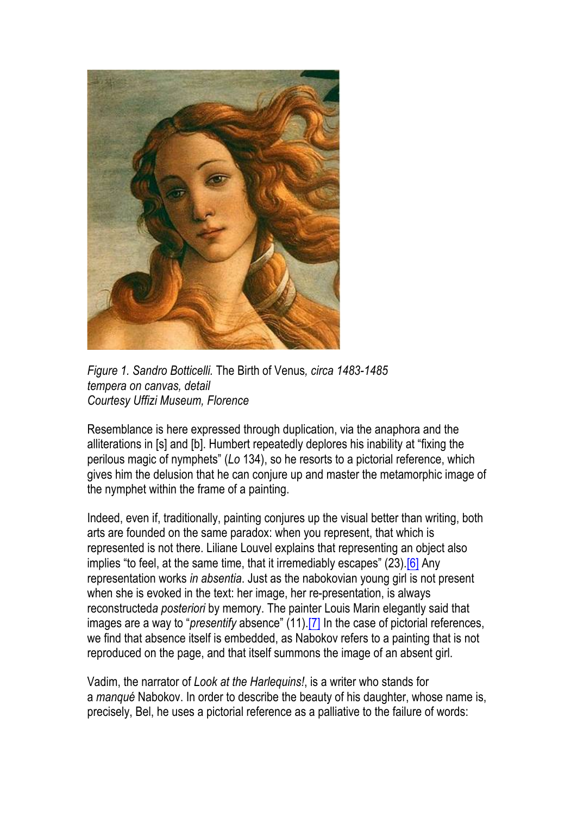

*Figure 1. Sandro Botticelli.* The Birth of Venus*, circa 1483-1485 tempera on canvas, detail Courtesy Uffizi Museum, Florence*

Resemblance is here expressed through duplication, via the anaphora and the alliterations in [s] and [b]. Humbert repeatedly deplores his inability at "fixing the perilous magic of nymphets" (*Lo* 134), so he resorts to a pictorial reference, which gives him the delusion that he can conjure up and master the metamorphic image of the nymphet within the frame of a painting.

Indeed, even if, traditionally, painting conjures up the visual better than writing, both arts are founded on the same paradox: when you represent, that which is represented is not there. Liliane Louvel explains that representing an object also implies "to feel, at the same time, that it irremediably escapes" (23).<sup>[6]</sup> Any representation works *in absentia*. Just as the nabokovian young girl is not present when she is evoked in the text: her image, her re-presentation, is always reconstructed*a posteriori* by memory. The painter Louis Marin elegantly said that images are a way to "*presentify* absence" (11).[7] In the case of pictorial references, we find that absence itself is embedded, as Nabokov refers to a painting that is not reproduced on the page, and that itself summons the image of an absent girl.

Vadim, the narrator of *Look at the Harlequins!*, is a writer who stands for a *manqué* Nabokov. In order to describe the beauty of his daughter, whose name is, precisely, Bel, he uses a pictorial reference as a palliative to the failure of words: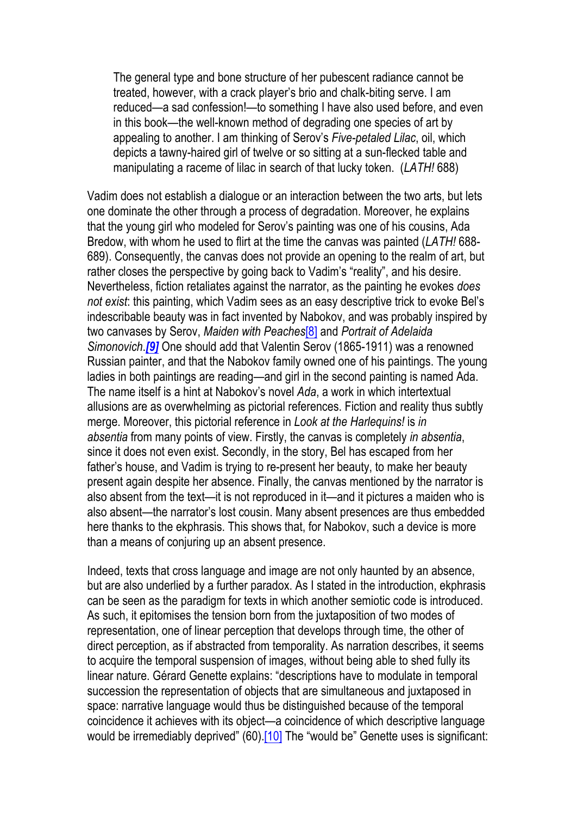The general type and bone structure of her pubescent radiance cannot be treated, however, with a crack player's brio and chalk-biting serve. I am reduced—a sad confession!—to something I have also used before, and even in this book—the well-known method of degrading one species of art by appealing to another. I am thinking of Serov's *Five-petaled Lilac*, oil, which depicts a tawny-haired girl of twelve or so sitting at a sun-flecked table and manipulating a raceme of lilac in search of that lucky token. (*LATH!* 688)

Vadim does not establish a dialogue or an interaction between the two arts, but lets one dominate the other through a process of degradation. Moreover, he explains that the young girl who modeled for Serov's painting was one of his cousins, Ada Bredow, with whom he used to flirt at the time the canvas was painted (*LATH!* 688- 689). Consequently, the canvas does not provide an opening to the realm of art, but rather closes the perspective by going back to Vadim's "reality", and his desire. Nevertheless, fiction retaliates against the narrator, as the painting he evokes *does not exist*: this painting, which Vadim sees as an easy descriptive trick to evoke Bel's indescribable beauty was in fact invented by Nabokov, and was probably inspired by two canvases by Serov, *Maiden with Peaches*[8] and *Portrait of Adelaida Simonovich*.*[9]* One should add that Valentin Serov (1865-1911) was a renowned Russian painter, and that the Nabokov family owned one of his paintings. The young ladies in both paintings are reading—and girl in the second painting is named Ada. The name itself is a hint at Nabokov's novel *Ada*, a work in which intertextual allusions are as overwhelming as pictorial references. Fiction and reality thus subtly merge. Moreover, this pictorial reference in *Look at the Harlequins!* is *in absentia* from many points of view. Firstly, the canvas is completely *in absentia*, since it does not even exist. Secondly, in the story, Bel has escaped from her father's house, and Vadim is trying to re-present her beauty, to make her beauty present again despite her absence. Finally, the canvas mentioned by the narrator is also absent from the text—it is not reproduced in it—and it pictures a maiden who is also absent—the narrator's lost cousin. Many absent presences are thus embedded here thanks to the ekphrasis. This shows that, for Nabokov, such a device is more than a means of conjuring up an absent presence.

Indeed, texts that cross language and image are not only haunted by an absence, but are also underlied by a further paradox. As I stated in the introduction, ekphrasis can be seen as the paradigm for texts in which another semiotic code is introduced. As such, it epitomises the tension born from the juxtaposition of two modes of representation, one of linear perception that develops through time, the other of direct perception, as if abstracted from temporality. As narration describes, it seems to acquire the temporal suspension of images, without being able to shed fully its linear nature. Gérard Genette explains: "descriptions have to modulate in temporal succession the representation of objects that are simultaneous and juxtaposed in space: narrative language would thus be distinguished because of the temporal coincidence it achieves with its object—a coincidence of which descriptive language would be irremediably deprived" (60).<sup>[10]</sup> The "would be" Genette uses is significant: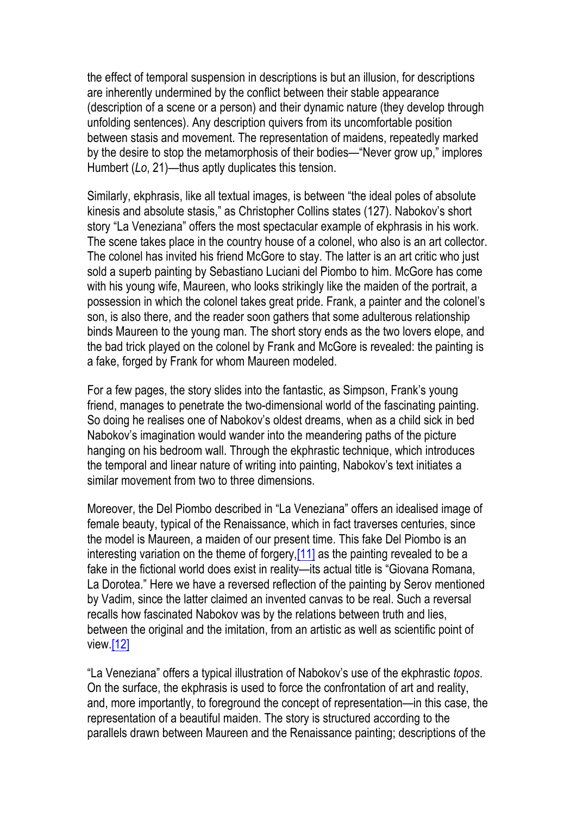the effect of temporal suspension in descriptions is but an illusion, for descriptions are inherently undermined by the conflict between their stable appearance (description of a scene or a person) and their dynamic nature (they develop through unfolding sentences). Any description quivers from its uncomfortable position between stasis and movement. The representation of maidens, repeatedly marked by the desire to stop the metamorphosis of their bodies—"Never grow up," implores Humbert (*Lo*, 21)—thus aptly duplicates this tension.

Similarly, ekphrasis, like all textual images, is between "the ideal poles of absolute kinesis and absolute stasis," as Christopher Collins states (127). Nabokov's short story "La Veneziana" offers the most spectacular example of ekphrasis in his work. The scene takes place in the country house of a colonel, who also is an art collector. The colonel has invited his friend McGore to stay. The latter is an art critic who just sold a superb painting by Sebastiano Luciani del Piombo to him. McGore has come with his young wife, Maureen, who looks strikingly like the maiden of the portrait, a possession in which the colonel takes great pride. Frank, a painter and the colonel's son, is also there, and the reader soon gathers that some adulterous relationship binds Maureen to the young man. The short story ends as the two lovers elope, and the bad trick played on the colonel by Frank and McGore is revealed: the painting is a fake, forged by Frank for whom Maureen modeled.

For a few pages, the story slides into the fantastic, as Simpson, Frank's young friend, manages to penetrate the two-dimensional world of the fascinating painting. So doing he realises one of Nabokov's oldest dreams, when as a child sick in bed Nabokov's imagination would wander into the meandering paths of the picture hanging on his bedroom wall. Through the ekphrastic technique, which introduces the temporal and linear nature of writing into painting, Nabokov's text initiates a similar movement from two to three dimensions.

Moreover, the Del Piombo described in "La Veneziana" offers an idealised image of female beauty, typical of the Renaissance, which in fact traverses centuries, since the model is Maureen, a maiden of our present time. This fake Del Piombo is an interesting variation on the theme of forgery,[11] as the painting revealed to be a fake in the fictional world does exist in reality—its actual title is "Giovana Romana, La Dorotea." Here we have a reversed reflection of the painting by Serov mentioned by Vadim, since the latter claimed an invented canvas to be real. Such a reversal recalls how fascinated Nabokov was by the relations between truth and lies, between the original and the imitation, from an artistic as well as scientific point of view.[12]

"La Veneziana" offers a typical illustration of Nabokov's use of the ekphrastic *topos*. On the surface, the ekphrasis is used to force the confrontation of art and reality, and, more importantly, to foreground the concept of representation—in this case, the representation of a beautiful maiden. The story is structured according to the parallels drawn between Maureen and the Renaissance painting; descriptions of the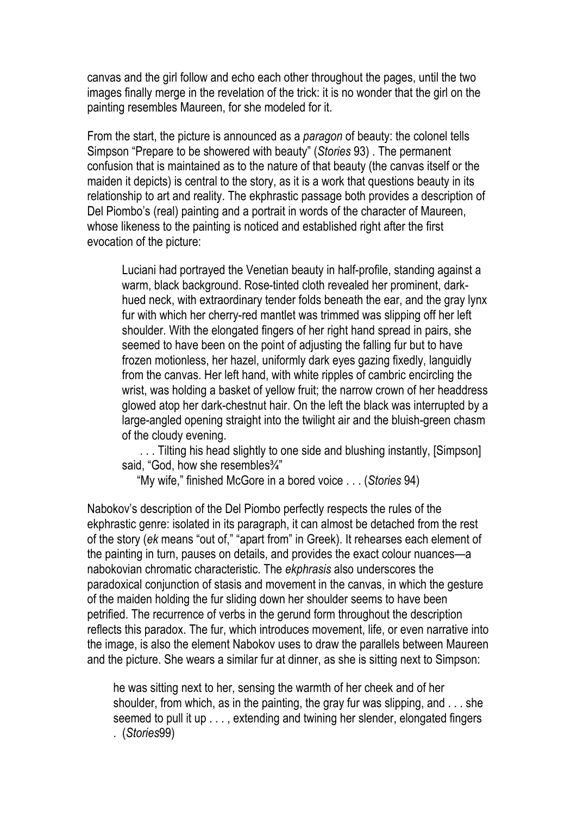canvas and the girl follow and echo each other throughout the pages, until the two images finally merge in the revelation of the trick: it is no wonder that the girl on the painting resembles Maureen, for she modeled for it.

From the start, the picture is announced as a *paragon* of beauty: the colonel tells Simpson "Prepare to be showered with beauty" (*Stories* 93) . The permanent confusion that is maintained as to the nature of that beauty (the canvas itself or the maiden it depicts) is central to the story, as it is a work that questions beauty in its relationship to art and reality. The ekphrastic passage both provides a description of Del Piombo's (real) painting and a portrait in words of the character of Maureen, whose likeness to the painting is noticed and established right after the first evocation of the picture:

Luciani had portrayed the Venetian beauty in half-profile, standing against a warm, black background. Rose-tinted cloth revealed her prominent, darkhued neck, with extraordinary tender folds beneath the ear, and the gray lynx fur with which her cherry-red mantlet was trimmed was slipping off her left shoulder. With the elongated fingers of her right hand spread in pairs, she seemed to have been on the point of adjusting the falling fur but to have frozen motionless, her hazel, uniformly dark eyes gazing fixedly, languidly from the canvas. Her left hand, with white ripples of cambric encircling the wrist, was holding a basket of yellow fruit; the narrow crown of her headdress glowed atop her dark-chestnut hair. On the left the black was interrupted by a large-angled opening straight into the twilight air and the bluish-green chasm of the cloudy evening.

. . . Tilting his head slightly to one side and blushing instantly, [Simpson] said, "God, how she resembles<sup>3</sup>/4"

"My wife," finished McGore in a bored voice . . . (*Stories* 94)

Nabokov's description of the Del Piombo perfectly respects the rules of the ekphrastic genre: isolated in its paragraph, it can almost be detached from the rest of the story (*ek* means "out of," "apart from" in Greek). It rehearses each element of the painting in turn, pauses on details, and provides the exact colour nuances—a nabokovian chromatic characteristic. The *ekphrasis* also underscores the paradoxical conjunction of stasis and movement in the canvas, in which the gesture of the maiden holding the fur sliding down her shoulder seems to have been petrified. The recurrence of verbs in the gerund form throughout the description reflects this paradox. The fur, which introduces movement, life, or even narrative into the image, is also the element Nabokov uses to draw the parallels between Maureen and the picture. She wears a similar fur at dinner, as she is sitting next to Simpson:

he was sitting next to her, sensing the warmth of her cheek and of her shoulder, from which, as in the painting, the gray fur was slipping, and . . . she seemed to pull it up . . . , extending and twining her slender, elongated fingers . (*Stories*99)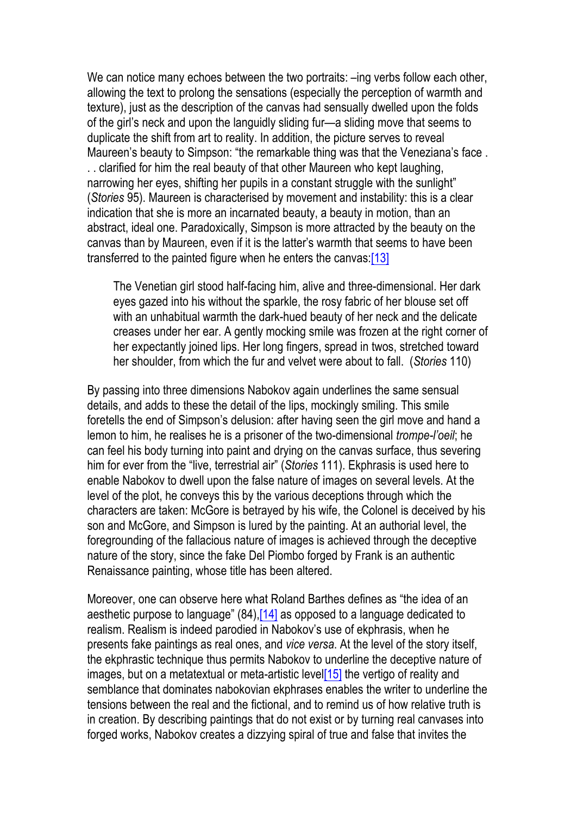We can notice many echoes between the two portraits:  $-$ ing verbs follow each other, allowing the text to prolong the sensations (especially the perception of warmth and texture), just as the description of the canvas had sensually dwelled upon the folds of the girl's neck and upon the languidly sliding fur—a sliding move that seems to duplicate the shift from art to reality. In addition, the picture serves to reveal Maureen's beauty to Simpson: "the remarkable thing was that the Veneziana's face . . . clarified for him the real beauty of that other Maureen who kept laughing, narrowing her eyes, shifting her pupils in a constant struggle with the sunlight" (*Stories* 95). Maureen is characterised by movement and instability: this is a clear indication that she is more an incarnated beauty, a beauty in motion, than an abstract, ideal one. Paradoxically, Simpson is more attracted by the beauty on the canvas than by Maureen, even if it is the latter's warmth that seems to have been transferred to the painted figure when he enters the canvas:[13]

The Venetian girl stood half-facing him, alive and three-dimensional. Her dark eyes gazed into his without the sparkle, the rosy fabric of her blouse set off with an unhabitual warmth the dark-hued beauty of her neck and the delicate creases under her ear. A gently mocking smile was frozen at the right corner of her expectantly joined lips. Her long fingers, spread in twos, stretched toward her shoulder, from which the fur and velvet were about to fall. (*Stories* 110)

By passing into three dimensions Nabokov again underlines the same sensual details, and adds to these the detail of the lips, mockingly smiling. This smile foretells the end of Simpson's delusion: after having seen the girl move and hand a lemon to him, he realises he is a prisoner of the two-dimensional *trompe-l'oeil*; he can feel his body turning into paint and drying on the canvas surface, thus severing him for ever from the "live, terrestrial air" (*Stories* 111). Ekphrasis is used here to enable Nabokov to dwell upon the false nature of images on several levels. At the level of the plot, he conveys this by the various deceptions through which the characters are taken: McGore is betrayed by his wife, the Colonel is deceived by his son and McGore, and Simpson is lured by the painting. At an authorial level, the foregrounding of the fallacious nature of images is achieved through the deceptive nature of the story, since the fake Del Piombo forged by Frank is an authentic Renaissance painting, whose title has been altered.

Moreover, one can observe here what Roland Barthes defines as "the idea of an aesthetic purpose to language" (84),[14] as opposed to a language dedicated to realism. Realism is indeed parodied in Nabokov's use of ekphrasis, when he presents fake paintings as real ones, and *vice versa*. At the level of the story itself, the ekphrastic technique thus permits Nabokov to underline the deceptive nature of images, but on a metatextual or meta-artistic level<sup>[15]</sup> the vertigo of reality and semblance that dominates nabokovian ekphrases enables the writer to underline the tensions between the real and the fictional, and to remind us of how relative truth is in creation. By describing paintings that do not exist or by turning real canvases into forged works, Nabokov creates a dizzying spiral of true and false that invites the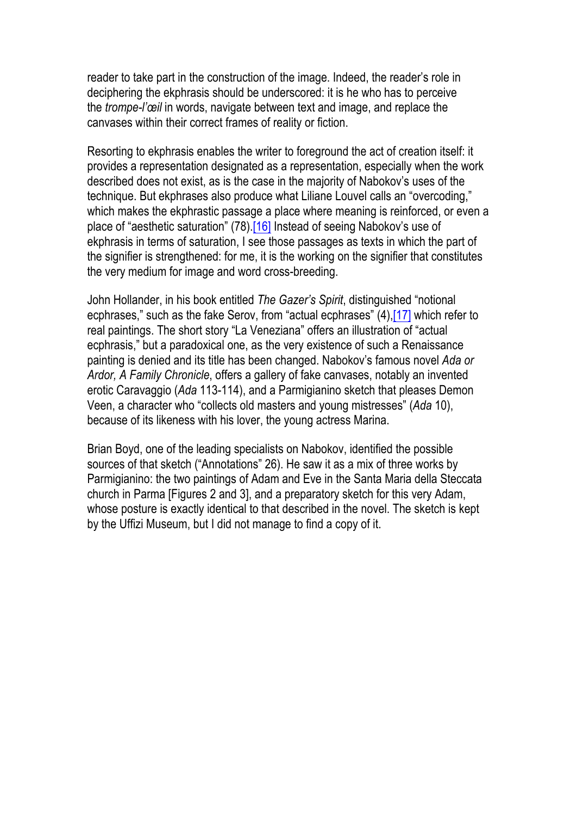reader to take part in the construction of the image. Indeed, the reader's role in deciphering the ekphrasis should be underscored: it is he who has to perceive the *trompe-l'œil* in words, navigate between text and image, and replace the canvases within their correct frames of reality or fiction.

Resorting to ekphrasis enables the writer to foreground the act of creation itself: it provides a representation designated as a representation, especially when the work described does not exist, as is the case in the majority of Nabokov's uses of the technique. But ekphrases also produce what Liliane Louvel calls an "overcoding," which makes the ekphrastic passage a place where meaning is reinforced, or even a place of "aesthetic saturation" (78).[16] Instead of seeing Nabokov's use of ekphrasis in terms of saturation, I see those passages as texts in which the part of the signifier is strengthened: for me, it is the working on the signifier that constitutes the very medium for image and word cross-breeding.

John Hollander, in his book entitled *The Gazer's Spirit*, distinguished "notional ecphrases," such as the fake Serov, from "actual ecphrases" (4),[17] which refer to real paintings. The short story "La Veneziana" offers an illustration of "actual ecphrasis," but a paradoxical one, as the very existence of such a Renaissance painting is denied and its title has been changed. Nabokov's famous novel *Ada or Ardor, A Family Chronicle*, offers a gallery of fake canvases, notably an invented erotic Caravaggio (*Ada* 113-114), and a Parmigianino sketch that pleases Demon Veen, a character who "collects old masters and young mistresses" (*Ada* 10), because of its likeness with his lover, the young actress Marina.

Brian Boyd, one of the leading specialists on Nabokov, identified the possible sources of that sketch ("Annotations" 26). He saw it as a mix of three works by Parmigianino: the two paintings of Adam and Eve in the Santa Maria della Steccata church in Parma [Figures 2 and 3], and a preparatory sketch for this very Adam, whose posture is exactly identical to that described in the novel. The sketch is kept by the Uffizi Museum, but I did not manage to find a copy of it.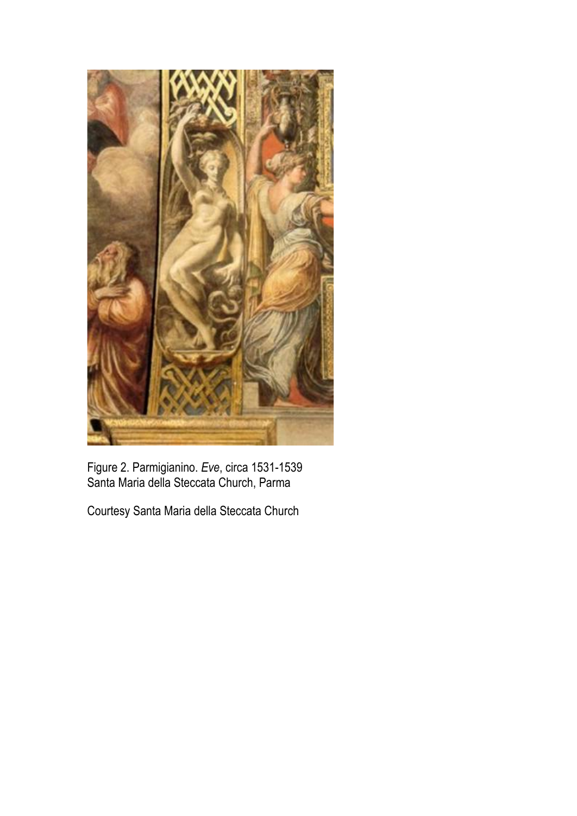

Figure 2. Parmigianino. *Eve*, circa 1531-1539 Santa Maria della Steccata Church, Parma

Courtesy Santa Maria della Steccata Church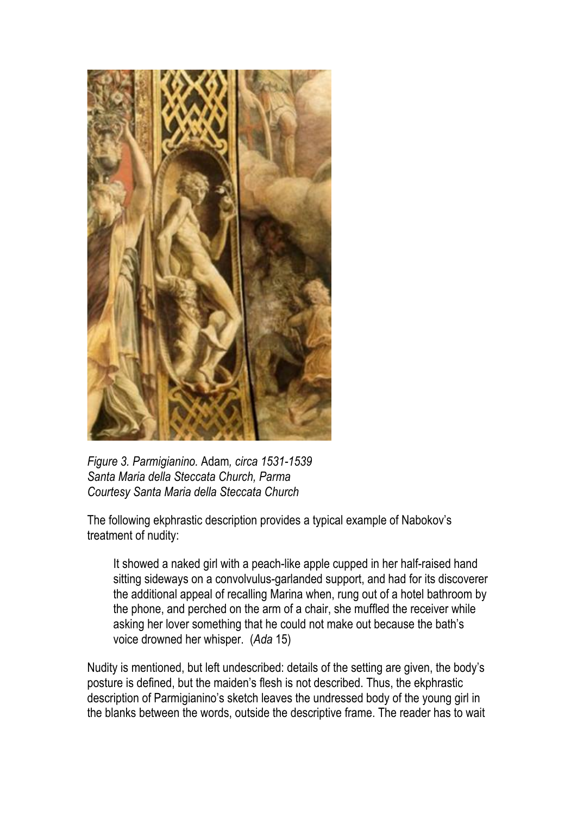

*Figure 3. Parmigianino.* Adam*, circa 1531-1539 Santa Maria della Steccata Church, Parma Courtesy Santa Maria della Steccata Church*

The following ekphrastic description provides a typical example of Nabokov's treatment of nudity:

It showed a naked girl with a peach-like apple cupped in her half-raised hand sitting sideways on a convolvulus-garlanded support, and had for its discoverer the additional appeal of recalling Marina when, rung out of a hotel bathroom by the phone, and perched on the arm of a chair, she muffled the receiver while asking her lover something that he could not make out because the bath's voice drowned her whisper. (*Ada* 15)

Nudity is mentioned, but left undescribed: details of the setting are given, the body's posture is defined, but the maiden's flesh is not described. Thus, the ekphrastic description of Parmigianino's sketch leaves the undressed body of the young girl in the blanks between the words, outside the descriptive frame. The reader has to wait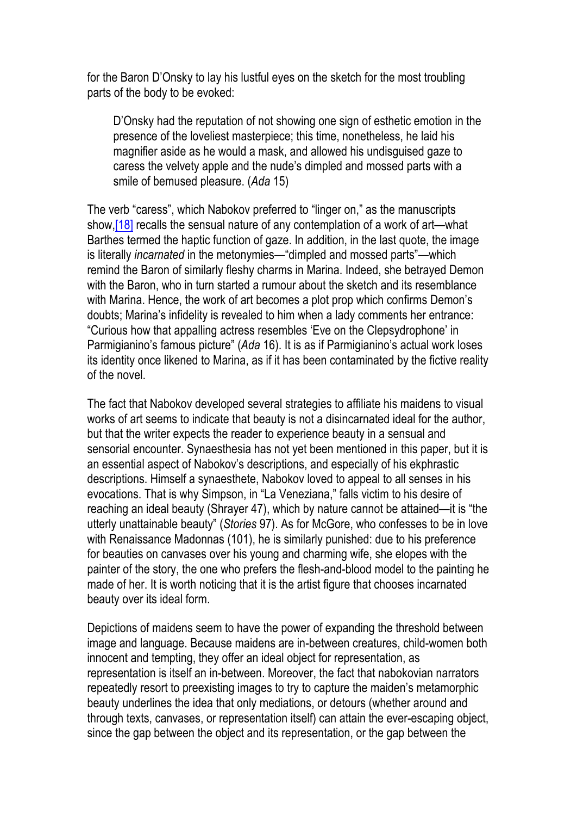for the Baron D'Onsky to lay his lustful eyes on the sketch for the most troubling parts of the body to be evoked:

D'Onsky had the reputation of not showing one sign of esthetic emotion in the presence of the loveliest masterpiece; this time, nonetheless, he laid his magnifier aside as he would a mask, and allowed his undisguised gaze to caress the velvety apple and the nude's dimpled and mossed parts with a smile of bemused pleasure. (*Ada* 15)

The verb "caress", which Nabokov preferred to "linger on," as the manuscripts show, [18] recalls the sensual nature of any contemplation of a work of art—what Barthes termed the haptic function of gaze. In addition, in the last quote, the image is literally *incarnated* in the metonymies—"dimpled and mossed parts"—which remind the Baron of similarly fleshy charms in Marina. Indeed, she betrayed Demon with the Baron, who in turn started a rumour about the sketch and its resemblance with Marina. Hence, the work of art becomes a plot prop which confirms Demon's doubts; Marina's infidelity is revealed to him when a lady comments her entrance: "Curious how that appalling actress resembles 'Eve on the Clepsydrophone' in Parmigianino's famous picture" (*Ada* 16). It is as if Parmigianino's actual work loses its identity once likened to Marina, as if it has been contaminated by the fictive reality of the novel.

The fact that Nabokov developed several strategies to affiliate his maidens to visual works of art seems to indicate that beauty is not a disincarnated ideal for the author, but that the writer expects the reader to experience beauty in a sensual and sensorial encounter. Synaesthesia has not yet been mentioned in this paper, but it is an essential aspect of Nabokov's descriptions, and especially of his ekphrastic descriptions. Himself a synaesthete, Nabokov loved to appeal to all senses in his evocations. That is why Simpson, in "La Veneziana," falls victim to his desire of reaching an ideal beauty (Shrayer 47), which by nature cannot be attained—it is "the utterly unattainable beauty" (*Stories* 97). As for McGore, who confesses to be in love with Renaissance Madonnas (101), he is similarly punished: due to his preference for beauties on canvases over his young and charming wife, she elopes with the painter of the story, the one who prefers the flesh-and-blood model to the painting he made of her. It is worth noticing that it is the artist figure that chooses incarnated beauty over its ideal form.

Depictions of maidens seem to have the power of expanding the threshold between image and language. Because maidens are in-between creatures, child-women both innocent and tempting, they offer an ideal object for representation, as representation is itself an in-between. Moreover, the fact that nabokovian narrators repeatedly resort to preexisting images to try to capture the maiden's metamorphic beauty underlines the idea that only mediations, or detours (whether around and through texts, canvases, or representation itself) can attain the ever-escaping object, since the gap between the object and its representation, or the gap between the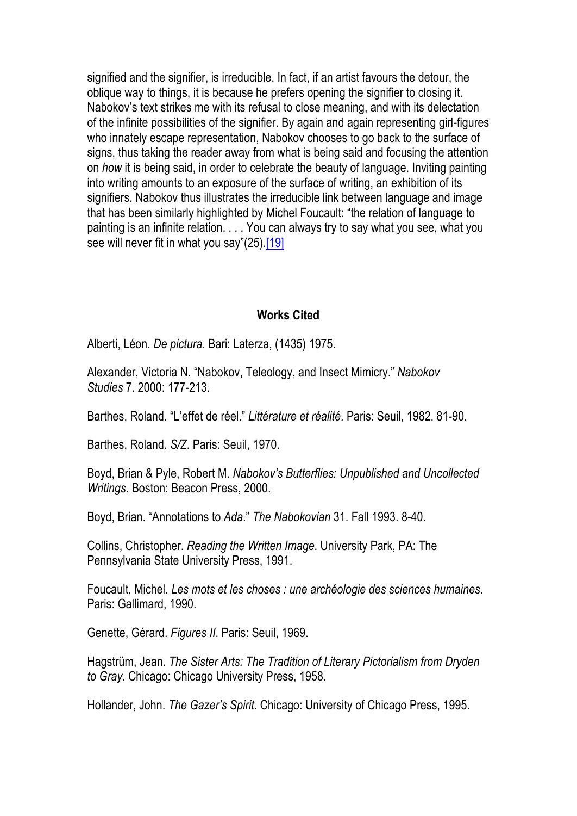signified and the signifier, is irreducible. In fact, if an artist favours the detour, the oblique way to things, it is because he prefers opening the signifier to closing it. Nabokov's text strikes me with its refusal to close meaning, and with its delectation of the infinite possibilities of the signifier. By again and again representing girl-figures who innately escape representation, Nabokov chooses to go back to the surface of signs, thus taking the reader away from what is being said and focusing the attention on *how* it is being said, in order to celebrate the beauty of language. Inviting painting into writing amounts to an exposure of the surface of writing, an exhibition of its signifiers. Nabokov thus illustrates the irreducible link between language and image that has been similarly highlighted by Michel Foucault: "the relation of language to painting is an infinite relation. . . . You can always try to say what you see, what you see will never fit in what you say"(25).<sup>[19]</sup>

## **Works Cited**

Alberti, Léon. *De pictura*. Bari: Laterza, (1435) 1975.

Alexander, Victoria N. "Nabokov, Teleology, and Insect Mimicry." *Nabokov Studies* 7. 2000: 177-213.

Barthes, Roland. "L'effet de réel." *Littérature et réalité*. Paris: Seuil, 1982. 81-90.

Barthes, Roland. *S/Z*. Paris: Seuil, 1970.

Boyd, Brian & Pyle, Robert M. *Nabokov's Butterflies: Unpublished and Uncollected Writings.* Boston: Beacon Press, 2000.

Boyd, Brian. "Annotations to *Ada*." *The Nabokovian* 31. Fall 1993. 8-40.

Collins, Christopher. *Reading the Written Image*. University Park, PA: The Pennsylvania State University Press, 1991.

Foucault, Michel. *Les mots et les choses : une archéologie des sciences humaines*. Paris: Gallimard, 1990.

Genette, Gérard. *Figures II*. Paris: Seuil, 1969.

Hagstrüm, Jean. *The Sister Arts: The Tradition of Literary Pictorialism from Dryden to Gray*. Chicago: Chicago University Press, 1958.

Hollander, John. *The Gazer's Spirit*. Chicago: University of Chicago Press, 1995.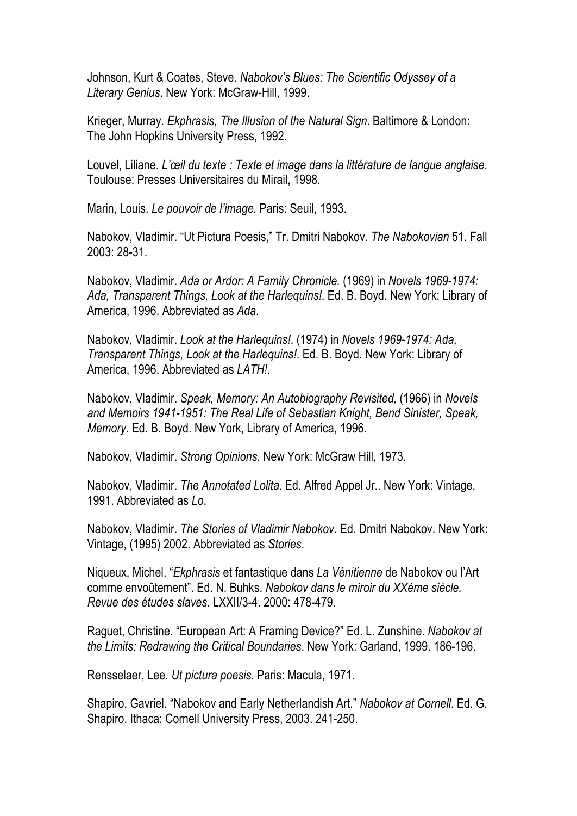Johnson, Kurt & Coates, Steve. *Nabokov's Blues: The Scientific Odyssey of a Literary Genius*. New York: McGraw-Hill, 1999.

Krieger, Murray. *Ekphrasis, The Illusion of the Natural Sign*. Baltimore & London: The John Hopkins University Press, 1992.

Louvel, Liliane. *L'œil du texte : Texte et image dans la littérature de langue anglaise*. Toulouse: Presses Universitaires du Mirail, 1998.

Marin, Louis. *Le pouvoir de l'image.* Paris: Seuil, 1993.

Nabokov, Vladimir. "Ut Pictura Poesis," Tr. Dmitri Nabokov. *The Nabokovian* 51. Fall 2003: 28-31.

Nabokov, Vladimir. *Ada or Ardor: A Family Chronicle.* (1969) in *Novels 1969-1974: Ada, Transparent Things, Look at the Harlequins!*. Ed. B. Boyd. New York: Library of America, 1996. Abbreviated as *Ada*.

Nabokov, Vladimir. *Look at the Harlequins!*. (1974) in *Novels 1969-1974: Ada, Transparent Things, Look at the Harlequins!*. Ed. B. Boyd. New York: Library of America, 1996. Abbreviated as *LATH!*.

Nabokov, Vladimir. *Speak, Memory: An Autobiography Revisited,* (1966) in *Novels and Memoirs 1941-1951: The Real Life of Sebastian Knight, Bend Sinister, Speak, Memory*. Ed. B. Boyd. New York, Library of America, 1996.

Nabokov, Vladimir. *Strong Opinions*. New York: McGraw Hill, 1973.

Nabokov, Vladimir. *The Annotated Lolita.* Ed. Alfred Appel Jr.. New York: Vintage, 1991. Abbreviated as *Lo*.

Nabokov, Vladimir. *The Stories of Vladimir Nabokov*. Ed. Dmitri Nabokov. New York: Vintage, (1995) 2002. Abbreviated as *Stories*.

Niqueux, Michel. "*Ekphrasis* et fantastique dans *La Vénitienne* de Nabokov ou l'Art comme envoûtement". Ed. N. Buhks. *Nabokov dans le miroir du XXème siècle. Revue des études slaves*. LXXII/3-4. 2000: 478-479.

Raguet, Christine. "European Art: A Framing Device?" Ed. L. Zunshine. *Nabokov at the Limits: Redrawing the Critical Boundaries*. New York: Garland, 1999. 186-196.

Rensselaer, Lee. *Ut pictura poesis*. Paris: Macula, 1971.

Shapiro, Gavriel. "Nabokov and Early Netherlandish Art." *Nabokov at Cornell*. Ed. G. Shapiro. Ithaca: Cornell University Press, 2003. 241-250.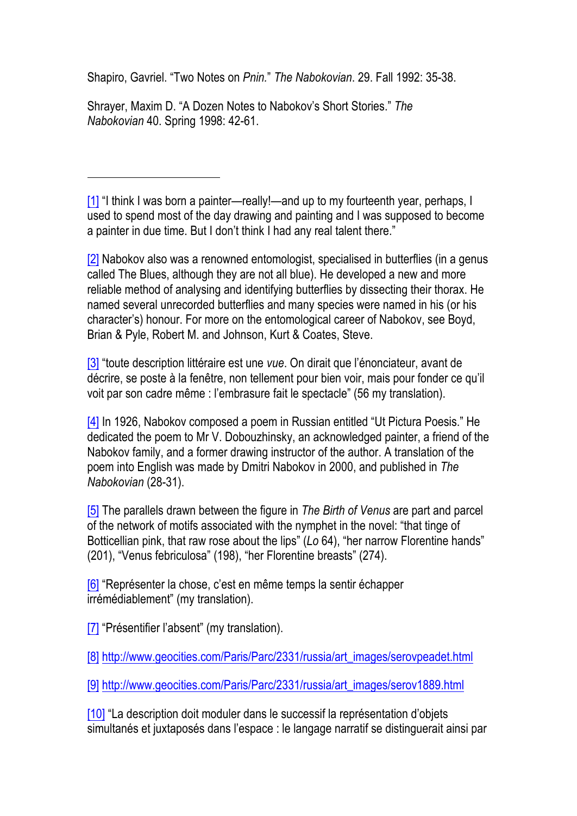Shapiro, Gavriel. "Two Notes on *Pnin.*" *The Nabokovian*. 29. Fall 1992: 35-38.

Shrayer, Maxim D. "A Dozen Notes to Nabokov's Short Stories." *The Nabokovian* 40. Spring 1998: 42-61.

[1] "I think I was born a painter—really!—and up to my fourteenth year, perhaps, I used to spend most of the day drawing and painting and I was supposed to become a painter in due time. But I don't think I had any real talent there."

[2] Nabokov also was a renowned entomologist, specialised in butterflies (in a genus called The Blues, although they are not all blue). He developed a new and more reliable method of analysing and identifying butterflies by dissecting their thorax. He named several unrecorded butterflies and many species were named in his (or his character's) honour. For more on the entomological career of Nabokov, see Boyd, Brian & Pyle, Robert M. and Johnson, Kurt & Coates, Steve.

[3] "toute description littéraire est une *vue*. On dirait que l'énonciateur, avant de décrire, se poste à la fenêtre, non tellement pour bien voir, mais pour fonder ce qu'il voit par son cadre même : l'embrasure fait le spectacle" (56 my translation).

[4] In 1926, Nabokov composed a poem in Russian entitled "Ut Pictura Poesis." He dedicated the poem to Mr V. Dobouzhinsky, an acknowledged painter, a friend of the Nabokov family, and a former drawing instructor of the author. A translation of the poem into English was made by Dmitri Nabokov in 2000, and published in *The Nabokovian* (28-31).

[5] The parallels drawn between the figure in *The Birth of Venus* are part and parcel of the network of motifs associated with the nymphet in the novel: "that tinge of Botticellian pink, that raw rose about the lips" (*Lo* 64), "her narrow Florentine hands" (201), "Venus febriculosa" (198), "her Florentine breasts" (274).

[6] "Représenter la chose, c'est en même temps la sentir échapper irrémédiablement" (my translation).

[7] "Présentifier l'absent" (my translation).

[8] http://www.geocities.com/Paris/Parc/2331/russia/art\_images/serovpeadet.html

[9] http://www.geocities.com/Paris/Parc/2331/russia/art\_images/serov1889.html

[10] "La description doit moduler dans le successif la représentation d'objets simultanés et juxtaposés dans l'espace : le langage narratif se distinguerait ainsi par